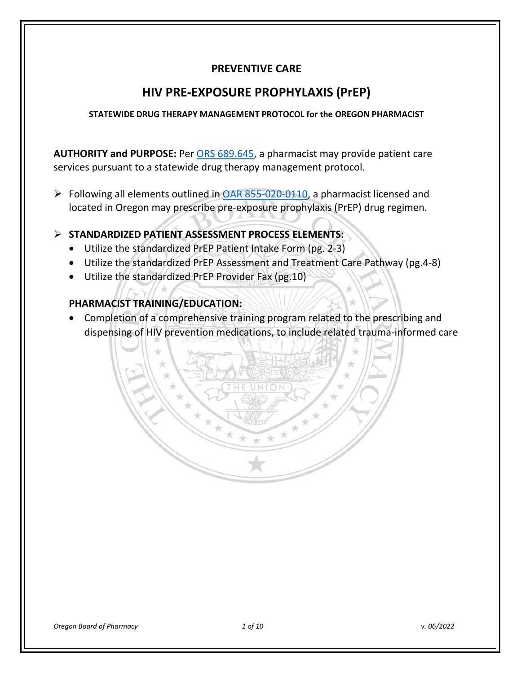# **PREVENTIVE CARE**

# **HIV PRE-EXPOSURE PROPHYLAXIS (PrEP)**

#### **STATEWIDE DRUG THERAPY MANAGEMENT PROTOCOL for the OREGON PHARMACIST**

**AUTHORITY and PURPOSE:** Per [ORS 689.645,](https://www.oregonlegislature.gov/bills_laws/ors/ors689.html) a pharmacist may provide patient care services pursuant to a statewide drug therapy management protocol.

Following all elements outlined in [OAR 855-020-0110,](https://secure.sos.state.or.us/oard/viewSingleRule.action;JSESSIONID_OARD=GinPri7Go2XN9yBv-7xHVsznbUQuRModG1MCY8-w-dRD9QfBmdug!-1886423255?ruleVrsnRsn=262657) a pharmacist licensed and located in Oregon may prescribe pre-exposure prophylaxis (PrEP) drug regimen.

## **STANDARDIZED PATIENT ASSESSMENT PROCESS ELEMENTS:**

- Utilize the standardized PrEP Patient Intake Form (pg. 2-3)
- Utilize the standardized PrEP Assessment and Treatment Care Pathway (pg.4-8)
- Utilize the standardized PrEP Provider Fax (pg.10)

## **PHARMACIST TRAINING/EDUCATION:**

• Completion of a comprehensive training program related to the prescribing and dispensing of HIV prevention medications, to include related trauma-informed care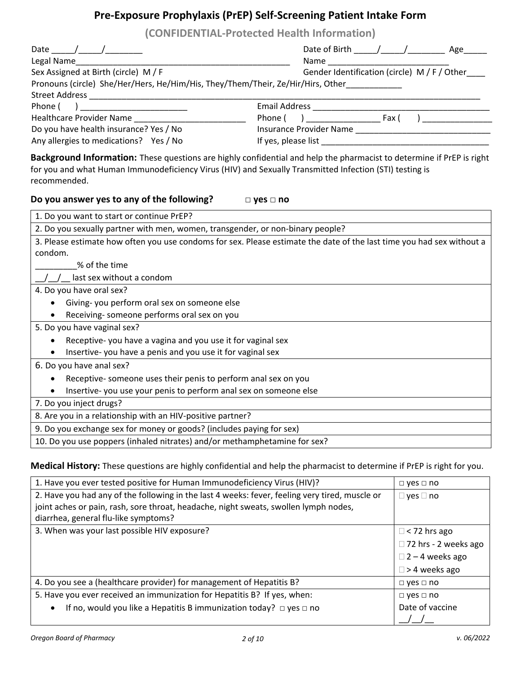# **Pre-Exposure Prophylaxis (PrEP) Self-Screening Patient Intake Form**

**(CONFIDENTIAL-Protected Health Information)**

| Legal Name                                                                                                                                                                                                                                       | Name and the state of the state of the state of the state of the state of the state of the state of the state |
|--------------------------------------------------------------------------------------------------------------------------------------------------------------------------------------------------------------------------------------------------|---------------------------------------------------------------------------------------------------------------|
| Sex Assigned at Birth (circle) M / F                                                                                                                                                                                                             | Gender Identification (circle) M / F / Other                                                                  |
| Pronouns (circle) She/Her/Hers, He/Him/His, They/Them/Their, Ze/Hir/Hirs, Other____________                                                                                                                                                      |                                                                                                               |
|                                                                                                                                                                                                                                                  |                                                                                                               |
| Phone (<br>) and the contract of the contract of $\overline{\phantom{a}}$                                                                                                                                                                        |                                                                                                               |
| Healthcare Provider Name ____________________________                                                                                                                                                                                            |                                                                                                               |
| Do you have health insurance? Yes / No                                                                                                                                                                                                           |                                                                                                               |
| Any allergies to medications? Yes / No                                                                                                                                                                                                           |                                                                                                               |
| Background Information: These questions are highly confidential and help the pharmacist to determine if PrEP is right<br>for you and what Human Immunodeficiency Virus (HIV) and Sexually Transmitted Infection (STI) testing is<br>recommended. |                                                                                                               |
| Do you answer yes to any of the following?                                                                                                                                                                                                       | $\Box$ yes $\Box$ no                                                                                          |
| 1. Do you want to start or continue PrEP?                                                                                                                                                                                                        |                                                                                                               |
| 2. Do you sexually partner with men, women, transgender, or non-binary people?                                                                                                                                                                   |                                                                                                               |
| 3. Please estimate how often you use condoms for sex. Please estimate the date of the last time you had sex without a                                                                                                                            |                                                                                                               |
| condom.                                                                                                                                                                                                                                          |                                                                                                               |
| % of the time                                                                                                                                                                                                                                    |                                                                                                               |
| last sex without a condom                                                                                                                                                                                                                        |                                                                                                               |
| 4. Do you have oral sex?                                                                                                                                                                                                                         |                                                                                                               |
| • Giving-you perform oral sex on someone else                                                                                                                                                                                                    |                                                                                                               |
| Receiving- someone performs oral sex on you                                                                                                                                                                                                      |                                                                                                               |
| 5. Do you have vaginal sex?                                                                                                                                                                                                                      |                                                                                                               |
| Receptive-you have a vagina and you use it for vaginal sex<br>$\bullet$                                                                                                                                                                          |                                                                                                               |
| Insertive- you have a penis and you use it for vaginal sex<br>$\bullet$                                                                                                                                                                          |                                                                                                               |
| 6. Do you have anal sex?                                                                                                                                                                                                                         |                                                                                                               |
| Receptive- someone uses their penis to perform anal sex on you<br>$\bullet$                                                                                                                                                                      |                                                                                                               |
| Insertive-you use your penis to perform anal sex on someone else                                                                                                                                                                                 |                                                                                                               |
| 7. Do you inject drugs?                                                                                                                                                                                                                          |                                                                                                               |
| 8. Are you in a relationship with an HIV-positive partner?                                                                                                                                                                                       |                                                                                                               |
| 9. Do you exchange sex for money or goods? (includes paying for sex)                                                                                                                                                                             |                                                                                                               |
| 10. Do you use poppers (inhaled nitrates) and/or methamphetamine for sex?                                                                                                                                                                        |                                                                                                               |
|                                                                                                                                                                                                                                                  |                                                                                                               |

**Medical History:** These questions are highly confidential and help the pharmacist to determine if PrEP is right for you.

| 1. Have you ever tested positive for Human Immunodeficiency Virus (HIV)?                       | $\Box$ yes $\Box$ no   |
|------------------------------------------------------------------------------------------------|------------------------|
| 2. Have you had any of the following in the last 4 weeks: fever, feeling very tired, muscle or | $\Box$ yes $\Box$ no   |
| joint aches or pain, rash, sore throat, headache, night sweats, swollen lymph nodes,           |                        |
| diarrhea, general flu-like symptoms?                                                           |                        |
| 3. When was your last possible HIV exposure?                                                   | $\Box$ < 72 hrs ago    |
|                                                                                                | □ 72 hrs - 2 weeks ago |
|                                                                                                | $\Box$ 2 – 4 weeks ago |
|                                                                                                | $\Box$ > 4 weeks ago   |
| 4. Do you see a (healthcare provider) for management of Hepatitis B?                           | $\Box$ yes $\Box$ no   |
| 5. Have you ever received an immunization for Hepatitis B? If yes, when:                       | $\Box$ yes $\Box$ no   |
| If no, would you like a Hepatitis B immunization today? $\Box$ yes $\Box$ no<br>$\bullet$      | Date of vaccine        |
|                                                                                                |                        |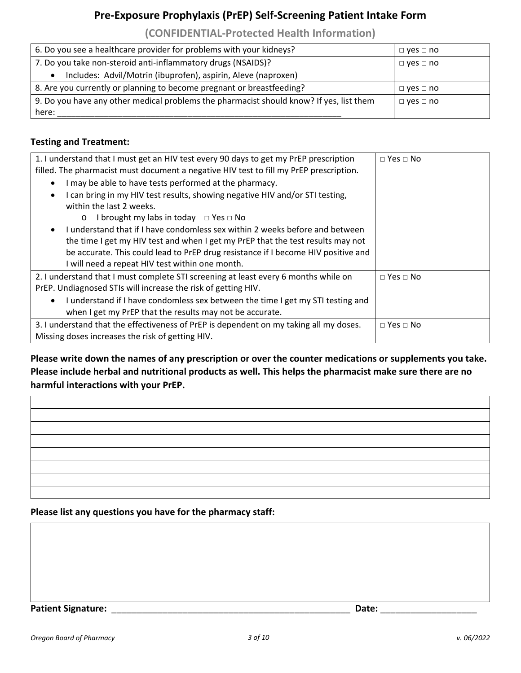# **Pre-Exposure Prophylaxis (PrEP) Self-Screening Patient Intake Form**

**(CONFIDENTIAL-Protected Health Information)**

| 6. Do you see a healthcare provider for problems with your kidneys?                     | $\Box$ yes $\Box$ no |  |
|-----------------------------------------------------------------------------------------|----------------------|--|
| 7. Do you take non-steroid anti-inflammatory drugs (NSAIDS)?                            | $\Box$ yes $\Box$ no |  |
| Includes: Advil/Motrin (ibuprofen), aspirin, Aleve (naproxen)                           |                      |  |
| 8. Are you currently or planning to become pregnant or breastfeeding?                   | $\Box$ yes $\Box$ no |  |
| 9. Do you have any other medical problems the pharmacist should know? If yes, list them | $\Box$ yes $\Box$ no |  |
| here:                                                                                   |                      |  |

### **Testing and Treatment:**

| 1. I understand that I must get an HIV test every 90 days to get my PrEP prescription        | $\Box$ Yes $\Box$ No |
|----------------------------------------------------------------------------------------------|----------------------|
| filled. The pharmacist must document a negative HIV test to fill my PrEP prescription.       |                      |
| I may be able to have tests performed at the pharmacy.<br>$\bullet$                          |                      |
| I can bring in my HIV test results, showing negative HIV and/or STI testing,                 |                      |
| within the last 2 weeks.                                                                     |                      |
| I brought my labs in today $\Box$ Yes $\Box$ No<br>$\circ$                                   |                      |
| Lunderstand that if Lhave condomless sex within 2 weeks before and between<br>$\bullet$      |                      |
| the time I get my HIV test and when I get my PrEP that the test results may not              |                      |
| be accurate. This could lead to PrEP drug resistance if I become HIV positive and            |                      |
| I will need a repeat HIV test within one month.                                              |                      |
| 2. I understand that I must complete STI screening at least every 6 months while on          | $\Box$ Yes $\Box$ No |
| PrEP. Undiagnosed STIs will increase the risk of getting HIV.                                |                      |
| I understand if I have condomless sex between the time I get my STI testing and<br>$\bullet$ |                      |
| when I get my PrEP that the results may not be accurate.                                     |                      |
| 3. I understand that the effectiveness of PrEP is dependent on my taking all my doses.       | $\Box$ Yes $\Box$ No |
| Missing doses increases the risk of getting HIV.                                             |                      |

**Please write down the names of any prescription or over the counter medications or supplements you take. Please include herbal and nutritional products as well. This helps the pharmacist make sure there are no harmful interactions with your PrEP.** 

#### **Please list any questions you have for the pharmacy staff:**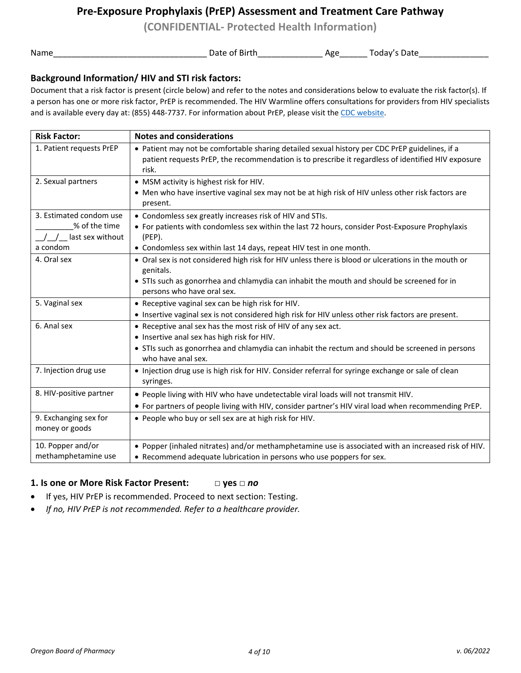**(CONFIDENTIAL- Protected Health Information)**

Name\_\_\_\_\_\_\_\_\_\_\_\_\_\_\_\_\_\_\_\_\_\_\_\_\_\_\_\_\_\_\_\_\_ Date of Birth\_\_\_\_\_\_\_\_\_\_\_\_\_\_ Age\_\_\_\_\_\_ Today's Date\_\_\_\_\_\_\_\_\_\_\_\_\_\_\_

#### **Background Information/ HIV and STI risk factors:**

Document that a risk factor is present (circle below) and refer to the notes and considerations below to evaluate the risk factor(s). If a person has one or more risk factor, PrEP is recommended. The HIV Warmline offers consultations for providers from HIV specialists and is available every day at: (855) 448-7737. For information about PrEP, please visit th[e CDC website.](https://www.cdc.gov/hiv/risk/prep/)

| <b>Risk Factor:</b>                     | <b>Notes and considerations</b>                                                                                                                                                                               |
|-----------------------------------------|---------------------------------------------------------------------------------------------------------------------------------------------------------------------------------------------------------------|
| 1. Patient requests PrEP                | • Patient may not be comfortable sharing detailed sexual history per CDC PrEP guidelines, if a<br>patient requests PrEP, the recommendation is to prescribe it regardless of identified HIV exposure<br>risk. |
| 2. Sexual partners                      | • MSM activity is highest risk for HIV.                                                                                                                                                                       |
|                                         | • Men who have insertive vaginal sex may not be at high risk of HIV unless other risk factors are<br>present.                                                                                                 |
| 3. Estimated condom use                 | • Condomless sex greatly increases risk of HIV and STIs.                                                                                                                                                      |
| % of the time                           | • For patients with condomless sex within the last 72 hours, consider Post-Exposure Prophylaxis                                                                                                               |
| / / last sex without                    | $(PEP)$ .                                                                                                                                                                                                     |
| a condom                                | • Condomless sex within last 14 days, repeat HIV test in one month.                                                                                                                                           |
| 4. Oral sex                             | • Oral sex is not considered high risk for HIV unless there is blood or ulcerations in the mouth or<br>genitals.                                                                                              |
|                                         | • STIs such as gonorrhea and chlamydia can inhabit the mouth and should be screened for in                                                                                                                    |
|                                         | persons who have oral sex.                                                                                                                                                                                    |
| 5. Vaginal sex                          | • Receptive vaginal sex can be high risk for HIV.                                                                                                                                                             |
|                                         | • Insertive vaginal sex is not considered high risk for HIV unless other risk factors are present.                                                                                                            |
| 6. Anal sex                             | • Receptive anal sex has the most risk of HIV of any sex act.                                                                                                                                                 |
|                                         | • Insertive anal sex has high risk for HIV.                                                                                                                                                                   |
|                                         | • STIs such as gonorrhea and chlamydia can inhabit the rectum and should be screened in persons<br>who have anal sex.                                                                                         |
| 7. Injection drug use                   | • Injection drug use is high risk for HIV. Consider referral for syringe exchange or sale of clean<br>syringes.                                                                                               |
| 8. HIV-positive partner                 | . People living with HIV who have undetectable viral loads will not transmit HIV.                                                                                                                             |
|                                         | • For partners of people living with HIV, consider partner's HIV viral load when recommending PrEP.                                                                                                           |
| 9. Exchanging sex for<br>money or goods | . People who buy or sell sex are at high risk for HIV.                                                                                                                                                        |
| 10. Popper and/or                       | . Popper (inhaled nitrates) and/or methamphetamine use is associated with an increased risk of HIV.                                                                                                           |
| methamphetamine use                     | • Recommend adequate lubrication in persons who use poppers for sex.                                                                                                                                          |
|                                         |                                                                                                                                                                                                               |

#### **1. Is one or More Risk Factor Present: □ yes □** *no*

- If yes, HIV PrEP is recommended. Proceed to next section: Testing.
- *If no, HIV PrEP is not recommended. Refer to a healthcare provider.*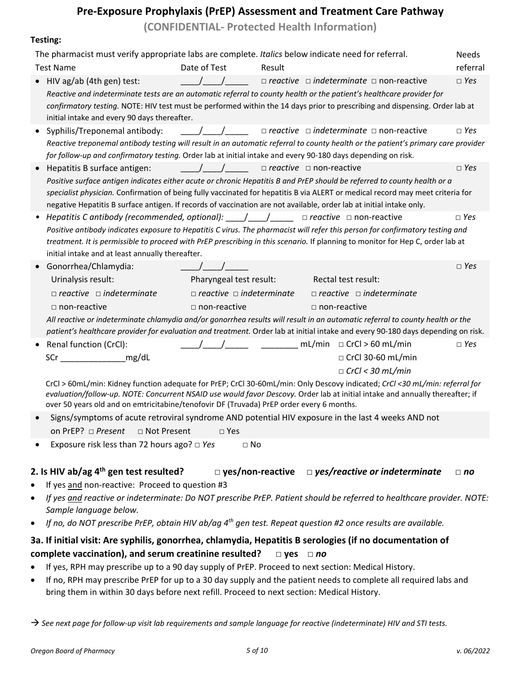**(CONFIDENTIAL- Protected Health Information)**

| . сэм. г.                                                                                                                                                                                                                                                                                                                                                                                                                             |                                                      |        |                                     |                                                          |              |
|---------------------------------------------------------------------------------------------------------------------------------------------------------------------------------------------------------------------------------------------------------------------------------------------------------------------------------------------------------------------------------------------------------------------------------------|------------------------------------------------------|--------|-------------------------------------|----------------------------------------------------------|--------------|
| The pharmacist must verify appropriate labs are complete. Italics below indicate need for referral.                                                                                                                                                                                                                                                                                                                                   |                                                      |        |                                     |                                                          | <b>Needs</b> |
| <b>Test Name</b>                                                                                                                                                                                                                                                                                                                                                                                                                      | Date of Test                                         | Result |                                     |                                                          | referral     |
| HIV ag/ab (4th gen) test:<br>Reactive and indeterminate tests are an automatic referral to county health or the patient's healthcare provider for                                                                                                                                                                                                                                                                                     | $\sqrt{2}$                                           |        |                                     | $\Box$ reactive $\Box$ indeterminate $\Box$ non-reactive | $\Box$ Yes   |
| confirmatory testing. NOTE: HIV test must be performed within the 14 days prior to prescribing and dispensing. Order lab at<br>initial intake and every 90 days thereafter.                                                                                                                                                                                                                                                           |                                                      |        |                                     |                                                          |              |
| Syphilis/Treponemal antibody:                                                                                                                                                                                                                                                                                                                                                                                                         | $\left( \begin{array}{cc} 1 & 1 \end{array} \right)$ |        |                                     | $\Box$ reactive $\Box$ indeterminate $\Box$ non-reactive | $\Box$ Yes   |
| Reactive treponemal antibody testing will result in an automatic referral to county health or the patient's primary care provider<br>for follow-up and confirmatory testing. Order lab at initial intake and every 90-180 days depending on risk.                                                                                                                                                                                     |                                                      |        |                                     |                                                          |              |
| Hepatitis B surface antigen:                                                                                                                                                                                                                                                                                                                                                                                                          | $\frac{1}{2}$                                        |        | $\Box$ reactive $\Box$ non-reactive |                                                          | $\Box$ Yes   |
| Positive surface antigen indicates either acute or chronic Hepatitis B and PrEP should be referred to county health or a<br>specialist physician. Confirmation of being fully vaccinated for hepatitis B via ALERT or medical record may meet criteria for<br>negative Hepatitis B surface antigen. If records of vaccination are not available, order lab at initial intake only.                                                    |                                                      |        |                                     |                                                          |              |
| Hepatitis C antibody (recommended, optional): $\qquad$ / $\qquad$ $\qquad$ $\Box$ reactive $\Box$ non-reactive<br>Positive antibody indicates exposure to Hepatitis C virus. The pharmacist will refer this person for confirmatory testing and<br>treatment. It is permissible to proceed with PrEP prescribing in this scenario. If planning to monitor for Hep C, order lab at<br>initial intake and at least annually thereafter. |                                                      |        |                                     |                                                          | $\Box$ Yes   |
| Gonorrhea/Chlamydia:                                                                                                                                                                                                                                                                                                                                                                                                                  |                                                      |        |                                     |                                                          | $\Box$ Yes   |
| Urinalysis result:                                                                                                                                                                                                                                                                                                                                                                                                                    | Pharyngeal test result:                              |        | Rectal test result:                 |                                                          |              |
| $\Box$ reactive $\Box$ indeterminate                                                                                                                                                                                                                                                                                                                                                                                                  | $\Box$ reactive $\Box$ indeterminate                 |        |                                     | $\Box$ reactive $\Box$ indeterminate                     |              |
| $\Box$ non-reactive                                                                                                                                                                                                                                                                                                                                                                                                                   | $\Box$ non-reactive                                  |        | $\Box$ non-reactive                 |                                                          |              |
| All reactive or indeterminate chlamydia and/or gonorrhea results will result in an automatic referral to county health or the<br>patient's healthcare provider for evaluation and treatment. Order lab at initial intake and every 90-180 days depending on risk.                                                                                                                                                                     |                                                      |        |                                     |                                                          |              |
| Renal function (CrCl):                                                                                                                                                                                                                                                                                                                                                                                                                |                                                      |        | mL/min $\Box$ CrCl > 60 mL/min      |                                                          | $\Box$ Yes   |
| mg/dL<br>SCription of the second service of the service of the series of the series of the series of the series of the                                                                                                                                                                                                                                                                                                                |                                                      |        |                                     | □ CrCl 30-60 mL/min                                      |              |
|                                                                                                                                                                                                                                                                                                                                                                                                                                       |                                                      |        |                                     | $\Box$ CrCl < 30 mL/min                                  |              |
| CrCl > 60mL/min: Kidney function adequate for PrEP; CrCl 30-60mL/min: Only Descovy indicated; CrCl <30 mL/min: referral for<br>evaluation/follow-up. NOTE: Concurrent NSAID use would favor Descovy. Order lab at initial intake and annually thereafter; if<br>over 50 years old and on emtricitabine/tenofovir DF (Truvada) PrEP order every 6 months.                                                                              |                                                      |        |                                     |                                                          |              |
| Signs/symptoms of acute retroviral syndrome AND potential HIV exposure in the last 4 weeks AND not<br>on PrEP? $\Box$ Present<br>$\Box$ Not Present                                                                                                                                                                                                                                                                                   | $\Box$ Yes                                           |        |                                     |                                                          |              |
| Exposure risk less than 72 hours ago? $\square$ Yes                                                                                                                                                                                                                                                                                                                                                                                   | $\Box$ No                                            |        |                                     |                                                          |              |
| 2. Is HIV ab/ag 4 <sup>th</sup> gen test resulted?                                                                                                                                                                                                                                                                                                                                                                                    | $\square$ yes/non-reactive                           |        |                                     | $\Box$ yes/reactive or indeterminate                     | $\Box$ no    |

- If yes and non-reactive: Proceed to question #3
- *If yes and reactive or indeterminate: Do NOT prescribe PrEP. Patient should be referred to healthcare provider. NOTE: Sample language below.*
- *If no, do NOT prescribe PrEP, obtain HIV ab/ag 4th gen test. Repeat question #2 once results are available.*

#### **3a. If initial visit: Are syphilis, gonorrhea, chlamydia, Hepatitis B serologies (if no documentation of complete vaccination), and serum creatinine resulted? □ yes □** *no*

- If yes, RPH may prescribe up to a 90 day supply of PrEP. Proceed to next section: Medical History.
- If no, RPH may prescribe PrEP for up to a 30 day supply and the patient needs to complete all required labs and bring them in within 30 days before next refill. Proceed to next section: Medical History.

*See next page for follow-up visit lab requirements and sample language for reactive (indeterminate) HIV and STI tests.*

**Testing:**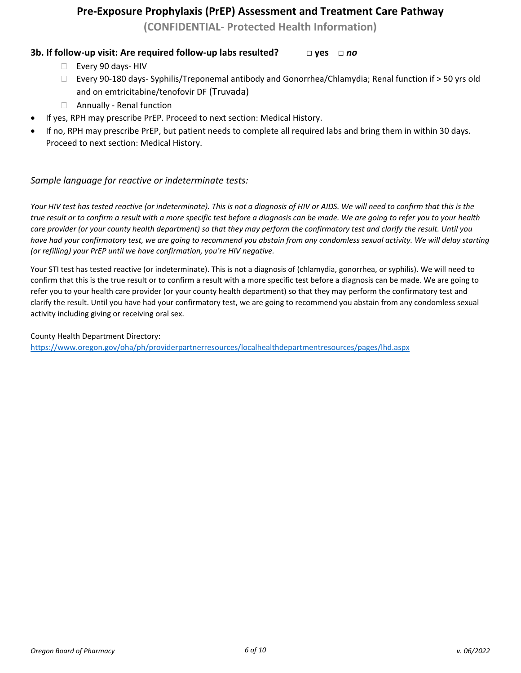**(CONFIDENTIAL- Protected Health Information)**

#### **3b. If follow-up visit: Are required follow-up labs resulted? □ yes □** *no*

- Every 90 days-HIV
- Every 90-180 days- Syphilis/Treponemal antibody and Gonorrhea/Chlamydia; Renal function if > 50 yrs old and on emtricitabine/tenofovir DF (Truvada)
- □ Annually Renal function
- If yes, RPH may prescribe PrEP. Proceed to next section: Medical History.
- If no, RPH may prescribe PrEP, but patient needs to complete all required labs and bring them in within 30 days. Proceed to next section: Medical History.

#### *Sample language for reactive or indeterminate tests:*

*Your HIV test has tested reactive (or indeterminate). This is not a diagnosis of HIV or AIDS. We will need to confirm that this is the true result or to confirm a result with a more specific test before a diagnosis can be made. We are going to refer you to your health care provider (or your county health department) so that they may perform the confirmatory test and clarify the result. Until you have had your confirmatory test, we are going to recommend you abstain from any condomless sexual activity. We will delay starting (or refilling) your PrEP until we have confirmation, you're HIV negative.* 

Your STI test has tested reactive (or indeterminate). This is not a diagnosis of (chlamydia, gonorrhea, or syphilis). We will need to confirm that this is the true result or to confirm a result with a more specific test before a diagnosis can be made. We are going to refer you to your health care provider (or your county health department) so that they may perform the confirmatory test and clarify the result. Until you have had your confirmatory test, we are going to recommend you abstain from any condomless sexual activity including giving or receiving oral sex.

County Health Department Directory:

<https://www.oregon.gov/oha/ph/providerpartnerresources/localhealthdepartmentresources/pages/lhd.aspx>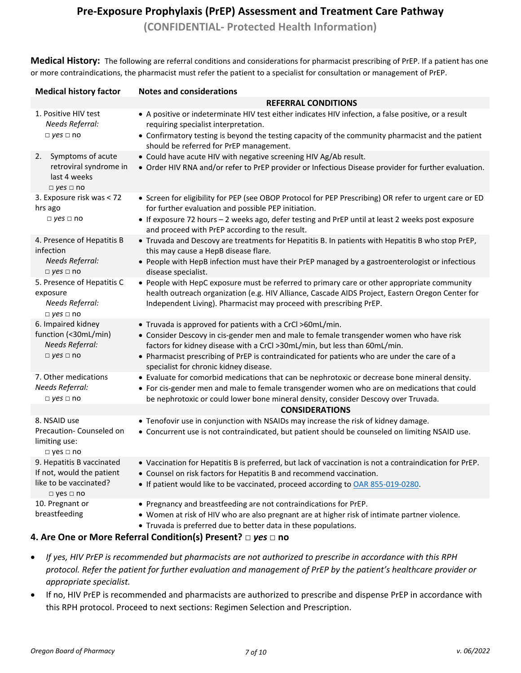**(CONFIDENTIAL- Protected Health Information)**

**Medical History:** The following are referral conditions and considerations for pharmacist prescribing of PrEP. If a patient has one or more contraindications, the pharmacist must refer the patient to a specialist for consultation or management of PrEP.

| <b>Medical history factor</b>                                                                            | <b>Notes and considerations</b>                                                                                                                                                                                                                                                                                                                                             |  |  |  |
|----------------------------------------------------------------------------------------------------------|-----------------------------------------------------------------------------------------------------------------------------------------------------------------------------------------------------------------------------------------------------------------------------------------------------------------------------------------------------------------------------|--|--|--|
|                                                                                                          | <b>REFERRAL CONDITIONS</b>                                                                                                                                                                                                                                                                                                                                                  |  |  |  |
| 1. Positive HIV test<br>Needs Referral:<br>$\Box$ yes $\Box$ no                                          | • A positive or indeterminate HIV test either indicates HIV infection, a false positive, or a result<br>requiring specialist interpretation.<br>• Confirmatory testing is beyond the testing capacity of the community pharmacist and the patient                                                                                                                           |  |  |  |
|                                                                                                          | should be referred for PrEP management.                                                                                                                                                                                                                                                                                                                                     |  |  |  |
| Symptoms of acute<br>2.<br>retroviral syndrome in<br>last 4 weeks<br>$\Box$ yes $\Box$ no                | • Could have acute HIV with negative screening HIV Ag/Ab result.<br>• Order HIV RNA and/or refer to PrEP provider or Infectious Disease provider for further evaluation.                                                                                                                                                                                                    |  |  |  |
| 3. Exposure risk was < 72<br>hrs ago                                                                     | • Screen for eligibility for PEP (see OBOP Protocol for PEP Prescribing) OR refer to urgent care or ED<br>for further evaluation and possible PEP initiation.                                                                                                                                                                                                               |  |  |  |
| $\Box$ yes $\Box$ no                                                                                     | • If exposure 72 hours - 2 weeks ago, defer testing and PrEP until at least 2 weeks post exposure<br>and proceed with PrEP according to the result.                                                                                                                                                                                                                         |  |  |  |
| 4. Presence of Hepatitis B<br>infection                                                                  | • Truvada and Descovy are treatments for Hepatitis B. In patients with Hepatitis B who stop PrEP,<br>this may cause a HepB disease flare.                                                                                                                                                                                                                                   |  |  |  |
| Needs Referral:<br>$\Box$ yes $\Box$ no                                                                  | • People with HepB infection must have their PrEP managed by a gastroenterologist or infectious<br>disease specialist.                                                                                                                                                                                                                                                      |  |  |  |
| 5. Presence of Hepatitis C<br>exposure<br>Needs Referral:<br>$\Box$ yes $\Box$ no                        | • People with HepC exposure must be referred to primary care or other appropriate community<br>health outreach organization (e.g. HIV Alliance, Cascade AIDS Project, Eastern Oregon Center for<br>Independent Living). Pharmacist may proceed with prescribing PrEP.                                                                                                       |  |  |  |
| 6. Impaired kidney<br>function (<30mL/min)<br>Needs Referral:<br>$\Box$ yes $\Box$ no                    | • Truvada is approved for patients with a CrCl >60mL/min.<br>• Consider Descovy in cis-gender men and male to female transgender women who have risk<br>factors for kidney disease with a CrCl >30mL/min, but less than 60mL/min.<br>• Pharmacist prescribing of PrEP is contraindicated for patients who are under the care of a<br>specialist for chronic kidney disease. |  |  |  |
| 7. Other medications<br>Needs Referral:<br>$\Box$ yes $\Box$ no                                          | • Evaluate for comorbid medications that can be nephrotoxic or decrease bone mineral density.<br>• For cis-gender men and male to female transgender women who are on medications that could<br>be nephrotoxic or could lower bone mineral density, consider Descovy over Truvada.                                                                                          |  |  |  |
|                                                                                                          | <b>CONSIDERATIONS</b>                                                                                                                                                                                                                                                                                                                                                       |  |  |  |
| 8. NSAID use<br>Precaution- Counseled on<br>limiting use:<br>$\Box$ yes $\Box$ no                        | • Tenofovir use in conjunction with NSAIDs may increase the risk of kidney damage.<br>. Concurrent use is not contraindicated, but patient should be counseled on limiting NSAID use.                                                                                                                                                                                       |  |  |  |
| 9. Hepatitis B vaccinated<br>If not, would the patient<br>like to be vaccinated?<br>$\Box$ yes $\Box$ no | . Vaccination for Hepatitis B is preferred, but lack of vaccination is not a contraindication for PrEP.<br>• Counsel on risk factors for Hepatitis B and recommend vaccination.<br>• If patient would like to be vaccinated, proceed according to OAR 855-019-0280.                                                                                                         |  |  |  |
| 10. Pregnant or<br>breastfeeding                                                                         | • Pregnancy and breastfeeding are not contraindications for PrEP.<br>. Women at risk of HIV who are also pregnant are at higher risk of intimate partner violence.<br>• Truvada is preferred due to better data in these populations.                                                                                                                                       |  |  |  |

#### **4. Are One or More Referral Condition(s) Present? □** *yes* **□ no**

- *If yes, HIV PrEP is recommended but pharmacists are not authorized to prescribe in accordance with this RPH protocol. Refer the patient for further evaluation and management of PrEP by the patient's healthcare provider or appropriate specialist.*
- If no, HIV PrEP is recommended and pharmacists are authorized to prescribe and dispense PrEP in accordance with this RPH protocol. Proceed to next sections: Regimen Selection and Prescription.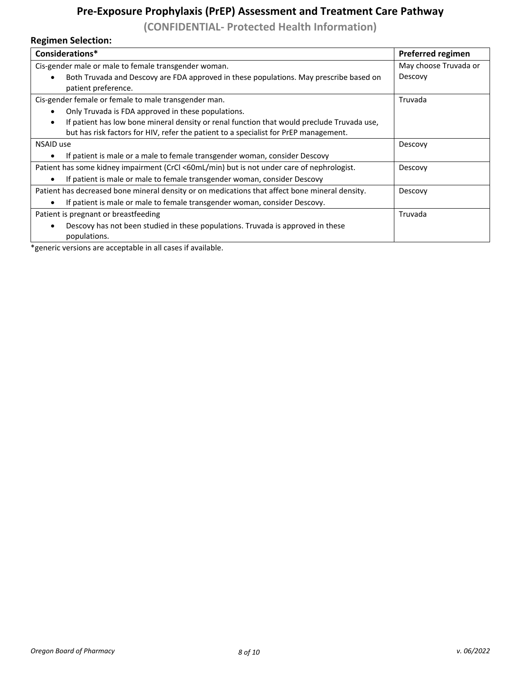**(CONFIDENTIAL- Protected Health Information)**

## **Regimen Selection:**

| Considerations*                                                                                                                                                                    | <b>Preferred regimen</b> |
|------------------------------------------------------------------------------------------------------------------------------------------------------------------------------------|--------------------------|
| Cis-gender male or male to female transgender woman.                                                                                                                               | May choose Truvada or    |
| Both Truvada and Descovy are FDA approved in these populations. May prescribe based on<br>patient preference.                                                                      | Descovy                  |
| Cis-gender female or female to male transgender man.                                                                                                                               | Truvada                  |
| Only Truvada is FDA approved in these populations.                                                                                                                                 |                          |
| If patient has low bone mineral density or renal function that would preclude Truvada use,<br>but has risk factors for HIV, refer the patient to a specialist for PrEP management. |                          |
| NSAID use                                                                                                                                                                          | Descovy                  |
| If patient is male or a male to female transgender woman, consider Descovy                                                                                                         |                          |
| Patient has some kidney impairment (CrCl <60mL/min) but is not under care of nephrologist.                                                                                         | Descovy                  |
| If patient is male or male to female transgender woman, consider Descovy                                                                                                           |                          |
| Patient has decreased bone mineral density or on medications that affect bone mineral density.                                                                                     | Descovy                  |
| If patient is male or male to female transgender woman, consider Descovy.                                                                                                          |                          |
| Patient is pregnant or breastfeeding                                                                                                                                               | Truvada                  |
| Descovy has not been studied in these populations. Truvada is approved in these<br>populations.                                                                                    |                          |
|                                                                                                                                                                                    |                          |

\*generic versions are acceptable in all cases if available.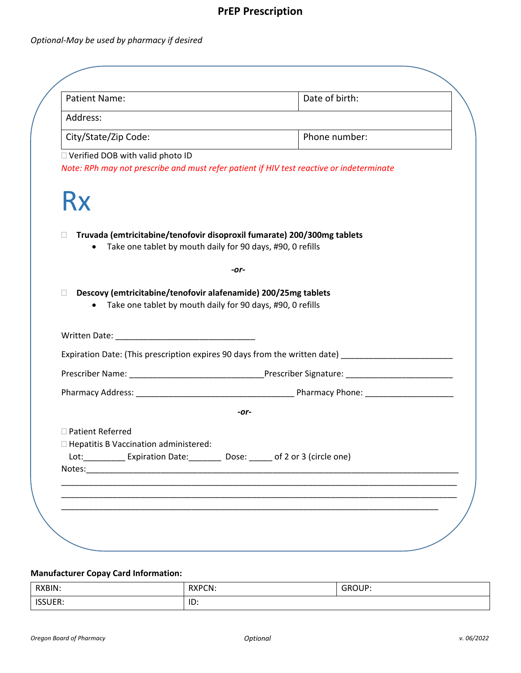# **PrEP Prescription**

## *Optional-May be used by pharmacy if desired*

| <b>Patient Name:</b>                                              | Date of birth:                                                                                                                        |
|-------------------------------------------------------------------|---------------------------------------------------------------------------------------------------------------------------------------|
| Address:                                                          |                                                                                                                                       |
| City/State/Zip Code:                                              | Phone number:                                                                                                                         |
| $\Box$ Verified DOB with valid photo ID                           | Note: RPh may not prescribe and must refer patient if HIV test reactive or indeterminate                                              |
| <b>Rx</b>                                                         |                                                                                                                                       |
| $\Box$<br>$\bullet$                                               | Truvada (emtricitabine/tenofovir disoproxil fumarate) 200/300mg tablets<br>Take one tablet by mouth daily for 90 days, #90, 0 refills |
|                                                                   | -or-                                                                                                                                  |
| П<br>• Take one tablet by mouth daily for 90 days, #90, 0 refills | Descovy (emtricitabine/tenofovir alafenamide) 200/25mg tablets                                                                        |
|                                                                   |                                                                                                                                       |
|                                                                   |                                                                                                                                       |
|                                                                   | Expiration Date: (This prescription expires 90 days from the written date) ________________________                                   |
|                                                                   |                                                                                                                                       |
|                                                                   |                                                                                                                                       |
| □ Patient Referred<br>□ Hepatitis B Vaccination administered:     | -or-<br>Lot: __________ Expiration Date: ________ Dose: _____ of 2 or 3 (circle one)                                                  |
|                                                                   |                                                                                                                                       |

#### **Manufacturer Copay Card Information:**

| RXBIN:                     | <b>RXPCN:</b> | <b>GROUP:</b> |
|----------------------------|---------------|---------------|
| <b>ICCLIER</b><br>החשטכנו. | ID:           |               |